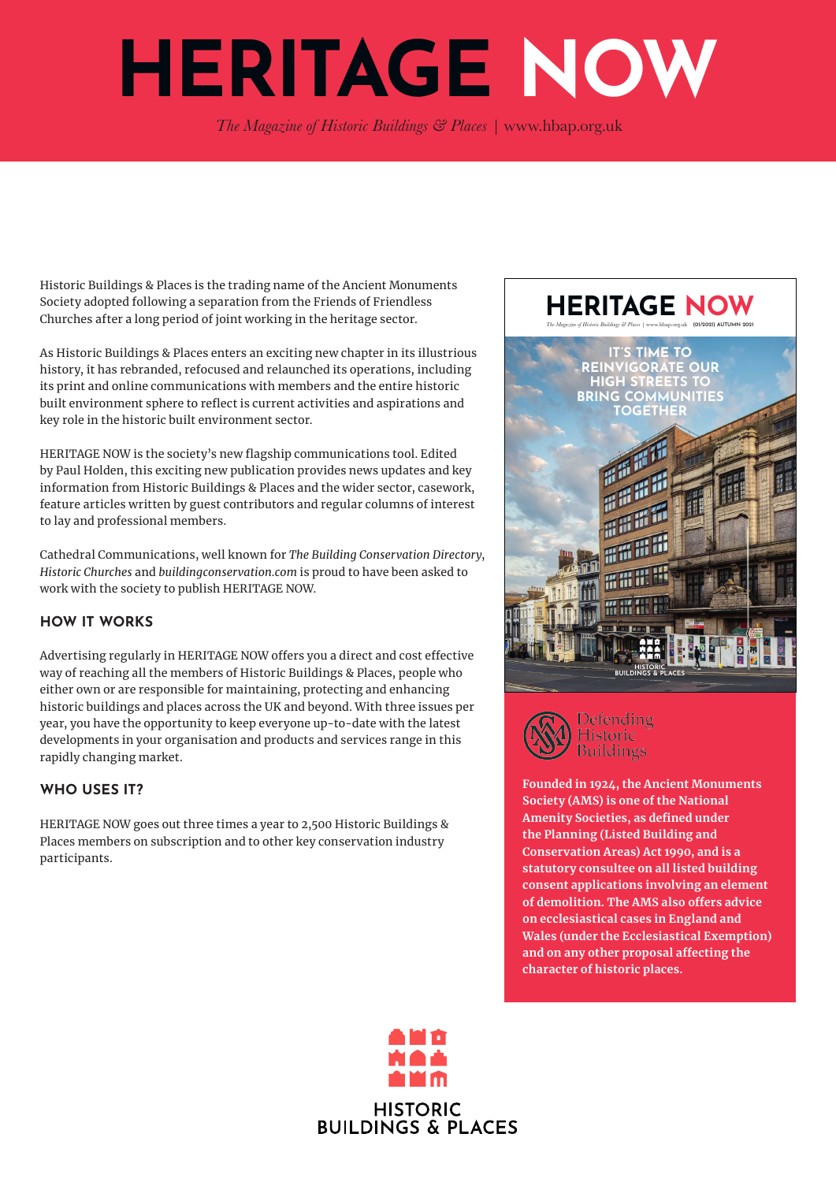# **HERITAGE NOW**

*The Magazine of Historic Buildings & Places |*  www.hbap.org.uk

Historic Buildings & Places is the trading name of the Ancient Monuments Society adopted following a separation from the Friends of Friendless Churches after a long period of joint working in the heritage sector.

As Historic Buildings & Places enters an exciting new chapter in its illustrious history, it has rebranded, refocused and relaunched its operations, including its print and online communications with members and the entire historic built environment sphere to reflect is current activities and aspirations and key role in the historic built environment sector.

HERITAGE NOW is the society's new flagship communications tool. Edited by Paul Holden, this exciting new publication provides news updates and key information from Historic Buildings & Places and the wider sector, casework, feature articles written by guest contributors and regular columns of interest to lay and professional members.

Cathedral Communications, well known for *The Building Conservation Directory*, *Historic Churches* and *buildingconservation.com* is proud to have been asked to work with the society to publish HERITAGE NOW.

### **HOW IT WORKS**

Advertising regularly in HERITAGE NOW offers you a direct and cost effective way of reaching all the members of Historic Buildings & Places, people who either own or are responsible for maintaining, protecting and enhancing historic buildings and places across the UK and beyond. With three issues per year, you have the opportunity to keep everyone up-to-date with the latest developments in your organisation and products and services range in this rapidly changing market.

## **WHO USES IT?**

HERITAGE NOW goes out three times a year to 2,500 Historic Buildings & Places members on subscription and to other key conservation industry participants.





**Founded in 1924, the Ancient Monuments Society (AMS) is one of the National Amenity Societies, as defined under the Planning (Listed Building and Conservation Areas) Act 1990, and is a statutory consultee on all listed building consent applications involving an element of demolition. The AMS also offers advice on ecclesiastical cases in England and Wales (under the Ecclesiastical Exemption) and on any other proposal affecting the character of historic places.**